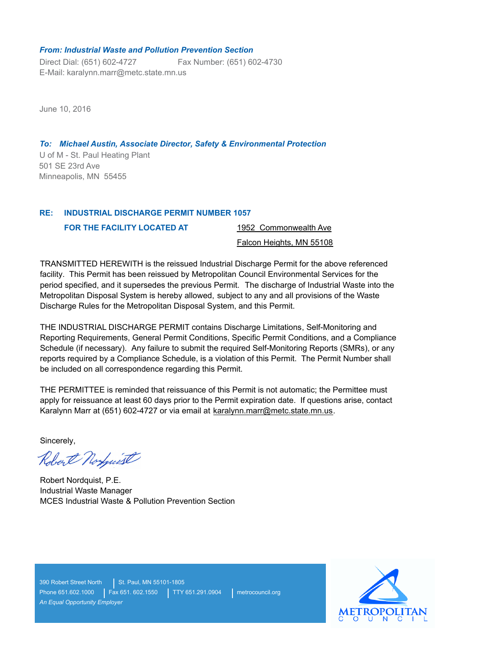### *From: Industrial Waste and Pollution Prevention Section*

Direct Dial: (651) 602-4727 E-Mail: karalynn.marr@metc.state.mn.us Fax Number: (651) 602-4730

June 10, 2016

U of M - St. Paul Heating Plant *To: Michael Austin, Associate Director, Safety & Environmental Protection* 501 SE 23rd Ave Minneapolis, MN 55455

#### **INDUSTRIAL DISCHARGE PERMIT NUMBER 1057 RE:**

**FOR THE FACILITY LOCATED AT** 

1952 Commonwealth Ave

# Falcon Heights, MN 55108

TRANSMITTED HEREWITH is the reissued Industrial Discharge Permit for the above referenced facility. This Permit has been reissued by Metropolitan Council Environmental Services for the period specified, and it supersedes the previous Permit. The discharge of Industrial Waste into the Metropolitan Disposal System is hereby allowed, subject to any and all provisions of the Waste Discharge Rules for the Metropolitan Disposal System, and this Permit.

THE INDUSTRIAL DISCHARGE PERMIT contains Discharge Limitations, Self-Monitoring and Reporting Requirements, General Permit Conditions, Specific Permit Conditions, and a Compliance Schedule (if necessary). Any failure to submit the required Self-Monitoring Reports (SMRs), or any reports required by a Compliance Schedule, is a violation of this Permit. The Permit Number shall be included on all correspondence regarding this Permit.

THE PERMITTEE is reminded that reissuance of this Permit is not automatic; the Permittee must apply for reissuance at least 60 days prior to the Permit expiration date. If questions arise, contact Karalynn Marr at (651) 602-4727 or via email at karalynn.marr@metc.state.mn.us.

Sincerely,

Robert Norguist

Robert Nordquist, P.E. Industrial Waste Manager MCES Industrial Waste & Pollution Prevention Section

390 Robert Street North | St. Paul, MN 55101-1805 Phone 651.602.1000 | Fax 651. 602.1550 | TTY 651.291.0904 | metrocouncil.org *An Equal Opportunity Employer*

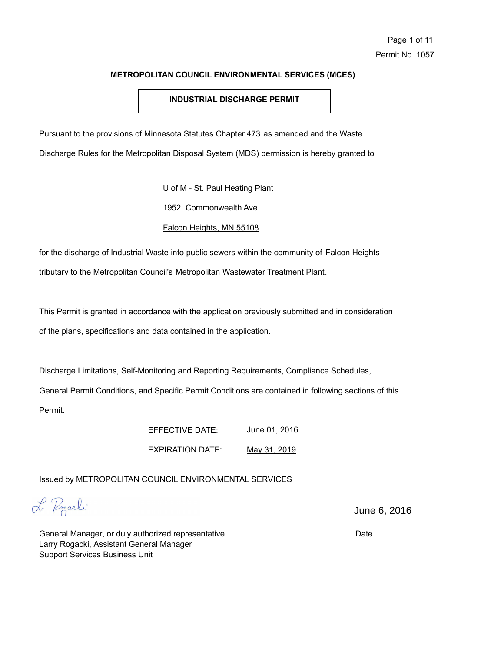# **INDUSTRIAL DISCHARGE PERMIT**

Pursuant to the provisions of Minnesota Statutes Chapter 473 as amended and the Waste

Discharge Rules for the Metropolitan Disposal System (MDS) permission is hereby granted to

U of M - St. Paul Heating Plant

1952 Commonwealth Ave

# Falcon Heights, MN 55108

for the discharge of Industrial Waste into public sewers within the community of Falcon Heights tributary to the Metropolitan Council's Metropolitan Wastewater Treatment Plant.

This Permit is granted in accordance with the application previously submitted and in consideration of the plans, specifications and data contained in the application.

Discharge Limitations, Self-Monitoring and Reporting Requirements, Compliance Schedules,

General Permit Conditions, and Specific Permit Conditions are contained in following sections of this Permit.

> EFFECTIVE DATE: EXPIRATION DATE: June 01, 2016 May 31, 2019

Issued by METROPOLITAN COUNCIL ENVIRONMENTAL SERVICES

L Pogarhi

June 6, 2016

General Manager, or duly authorized representative Larry Rogacki, Assistant General Manager Support Services Business Unit

Date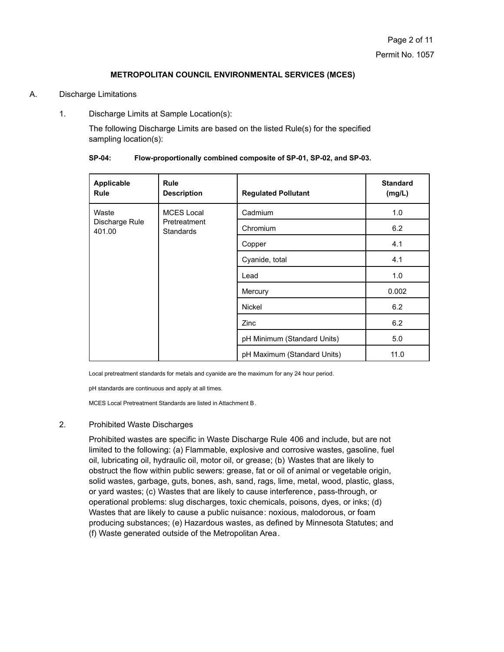### A. Discharge Limitations

1. Discharge Limits at Sample Location(s):

The following Discharge Limits are based on the listed Rule(s) for the specified sampling location(s):

| Applicable<br><b>Rule</b> | <b>Rule</b><br><b>Description</b> | <b>Regulated Pollutant</b>  | <b>Standard</b><br>(mg/L) |
|---------------------------|-----------------------------------|-----------------------------|---------------------------|
| Waste                     | <b>MCES Local</b>                 | Cadmium                     | 1.0                       |
| Discharge Rule<br>401.00  | Pretreatment<br><b>Standards</b>  | Chromium                    | 6.2                       |
|                           |                                   | Copper                      | 4.1                       |
|                           |                                   | Cyanide, total              | 4.1                       |
|                           |                                   | Lead                        | 1.0                       |
|                           |                                   | Mercury                     | 0.002                     |
|                           |                                   | Nickel                      | 6.2                       |
|                           |                                   | Zinc                        | 6.2                       |
|                           |                                   | pH Minimum (Standard Units) | 5.0                       |
|                           |                                   | pH Maximum (Standard Units) | 11.0                      |

**SP-04: Flow-proportionally combined composite of SP-01, SP-02, and SP-03.**

Local pretreatment standards for metals and cyanide are the maximum for any 24 hour period.

pH standards are continuous and apply at all times.

MCES Local Pretreatment Standards are listed in Attachment B.

### 2. Prohibited Waste Discharges

Prohibited wastes are specific in Waste Discharge Rule 406 and include, but are not limited to the following: (a) Flammable, explosive and corrosive wastes, gasoline, fuel oil, lubricating oil, hydraulic oil, motor oil, or grease; (b) Wastes that are likely to obstruct the flow within public sewers: grease, fat or oil of animal or vegetable origin, solid wastes, garbage, guts, bones, ash, sand, rags, lime, metal, wood, plastic, glass, or yard wastes; (c) Wastes that are likely to cause interference, pass-through, or operational problems: slug discharges, toxic chemicals, poisons, dyes, or inks; (d) Wastes that are likely to cause a public nuisance: noxious, malodorous, or foam producing substances; (e) Hazardous wastes, as defined by Minnesota Statutes; and (f) Waste generated outside of the Metropolitan Area.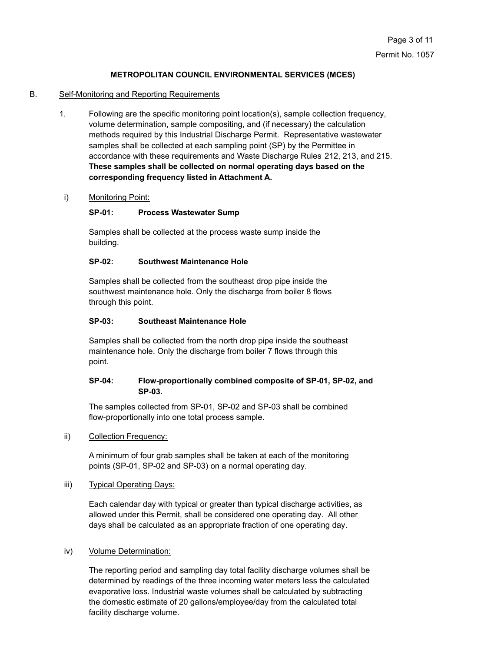## B. Self-Monitoring and Reporting Requirements

1. Following are the specific monitoring point location(s), sample collection frequency, volume determination, sample compositing, and (if necessary) the calculation methods required by this Industrial Discharge Permit. Representative wastewater samples shall be collected at each sampling point (SP) by the Permittee in accordance with these requirements and Waste Discharge Rules 212, 213, and 215. **These samples shall be collected on normal operating days based on the corresponding frequency listed in Attachment A.**

# i) Monitoring Point:

# **SP-01: Process Wastewater Sump**

Samples shall be collected at the process waste sump inside the building.

### **SP-02: Southwest Maintenance Hole**

Samples shall be collected from the southeast drop pipe inside the southwest maintenance hole. Only the discharge from boiler 8 flows through this point.

### **SP-03: Southeast Maintenance Hole**

Samples shall be collected from the north drop pipe inside the southeast maintenance hole. Only the discharge from boiler 7 flows through this point.

# **SP-04: Flow-proportionally combined composite of SP-01, SP-02, and SP-03.**

The samples collected from SP-01, SP-02 and SP-03 shall be combined flow-proportionally into one total process sample.

ii) Collection Frequency:

A minimum of four grab samples shall be taken at each of the monitoring points (SP-01, SP-02 and SP-03) on a normal operating day.

iii) Typical Operating Days:

Each calendar day with typical or greater than typical discharge activities, as allowed under this Permit, shall be considered one operating day. All other days shall be calculated as an appropriate fraction of one operating day.

# iv) Volume Determination:

The reporting period and sampling day total facility discharge volumes shall be determined by readings of the three incoming water meters less the calculated evaporative loss. Industrial waste volumes shall be calculated by subtracting the domestic estimate of 20 gallons/employee/day from the calculated total facility discharge volume.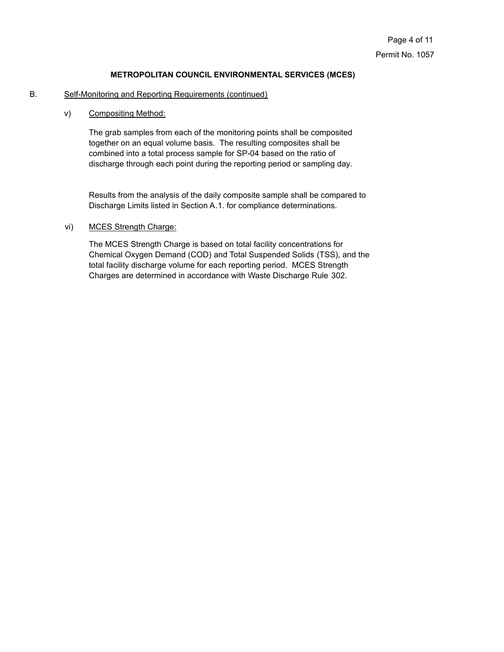### B. Self-Monitoring and Reporting Requirements (continued)

### v) Compositing Method:

The grab samples from each of the monitoring points shall be composited together on an equal volume basis. The resulting composites shall be combined into a total process sample for SP-04 based on the ratio of discharge through each point during the reporting period or sampling day.

Results from the analysis of the daily composite sample shall be compared to Discharge Limits listed in Section A.1. for compliance determinations.

# vi) MCES Strength Charge:

The MCES Strength Charge is based on total facility concentrations for Chemical Oxygen Demand (COD) and Total Suspended Solids (TSS), and the total facility discharge volume for each reporting period. MCES Strength Charges are determined in accordance with Waste Discharge Rule 302.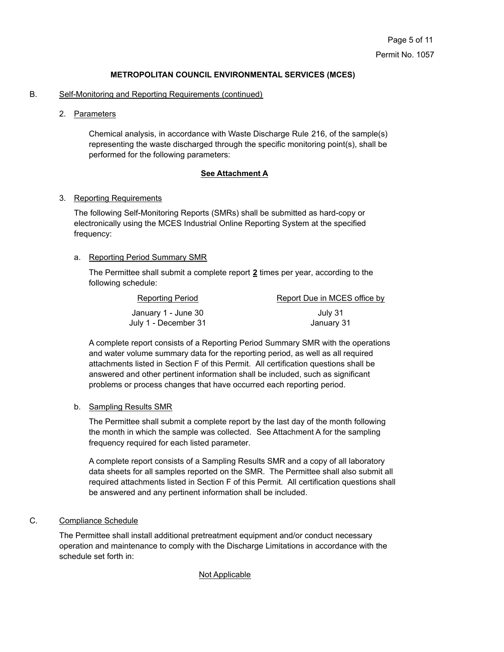### B. Self-Monitoring and Reporting Requirements (continued)

2. Parameters

Chemical analysis, in accordance with Waste Discharge Rule 216, of the sample(s) representing the waste discharged through the specific monitoring point(s), shall be performed for the following parameters:

### **See Attachment A**

### 3. Reporting Requirements

The following Self-Monitoring Reports (SMRs) shall be submitted as hard-copy or electronically using the MCES Industrial Online Reporting System at the specified frequency:

# a. Reporting Period Summary SMR

The Permittee shall submit a complete report **2** times per year, according to the following schedule:

| Reporting Period     | Report Due in MCES office by |
|----------------------|------------------------------|
| January 1 - June 30  | July 31                      |
| July 1 - December 31 | January 31                   |

A complete report consists of a Reporting Period Summary SMR with the operations and water volume summary data for the reporting period, as well as all required attachments listed in Section F of this Permit. All certification questions shall be answered and other pertinent information shall be included, such as significant problems or process changes that have occurred each reporting period.

# b. Sampling Results SMR

The Permittee shall submit a complete report by the last day of the month following the month in which the sample was collected. See Attachment A for the sampling frequency required for each listed parameter.

A complete report consists of a Sampling Results SMR and a copy of all laboratory data sheets for all samples reported on the SMR. The Permittee shall also submit all required attachments listed in Section F of this Permit. All certification questions shall be answered and any pertinent information shall be included.

# C. Compliance Schedule

The Permittee shall install additional pretreatment equipment and/or conduct necessary operation and maintenance to comply with the Discharge Limitations in accordance with the schedule set forth in:

# Not Applicable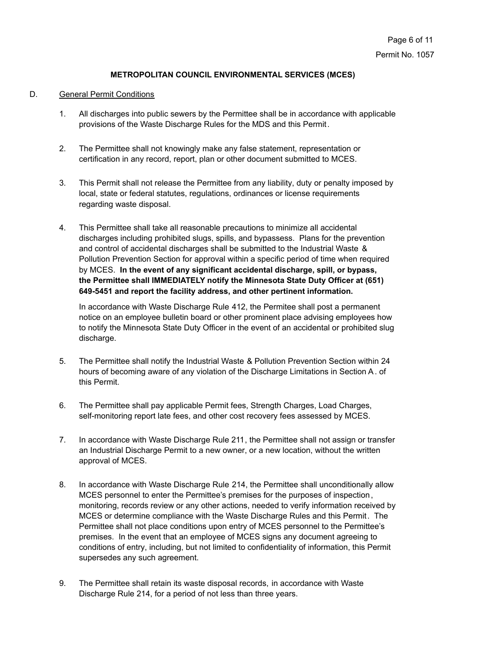### D. General Permit Conditions

- 1. All discharges into public sewers by the Permittee shall be in accordance with applicable provisions of the Waste Discharge Rules for the MDS and this Permit.
- 2. The Permittee shall not knowingly make any false statement, representation or certification in any record, report, plan or other document submitted to MCES.
- 3. This Permit shall not release the Permittee from any liability, duty or penalty imposed by local, state or federal statutes, regulations, ordinances or license requirements regarding waste disposal.
- 4. This Permittee shall take all reasonable precautions to minimize all accidental discharges including prohibited slugs, spills, and bypassess. Plans for the prevention and control of accidental discharges shall be submitted to the Industrial Waste & Pollution Prevention Section for approval within a specific period of time when required by MCES. **In the event of any significant accidental discharge, spill, or bypass, the Permittee shall IMMEDIATELY notify the Minnesota State Duty Officer at (651) 649-5451 and report the facility address, and other pertinent information.**

In accordance with Waste Discharge Rule 412, the Permitee shall post a permanent notice on an employee bulletin board or other prominent place advising employees how to notify the Minnesota State Duty Officer in the event of an accidental or prohibited slug discharge.

- 5. The Permittee shall notify the Industrial Waste & Pollution Prevention Section within 24 hours of becoming aware of any violation of the Discharge Limitations in Section A. of this Permit.
- 6. The Permittee shall pay applicable Permit fees, Strength Charges, Load Charges, self-monitoring report late fees, and other cost recovery fees assessed by MCES.
- 7. In accordance with Waste Discharge Rule 211, the Permittee shall not assign or transfer an Industrial Discharge Permit to a new owner, or a new location, without the written approval of MCES.
- 8. In accordance with Waste Discharge Rule 214, the Permittee shall unconditionally allow MCES personnel to enter the Permittee's premises for the purposes of inspection, monitoring, records review or any other actions, needed to verify information received by MCES or determine compliance with the Waste Discharge Rules and this Permit. The Permittee shall not place conditions upon entry of MCES personnel to the Permittee's premises. In the event that an employee of MCES signs any document agreeing to conditions of entry, including, but not limited to confidentiality of information, this Permit supersedes any such agreement.
- 9. The Permittee shall retain its waste disposal records, in accordance with Waste Discharge Rule 214, for a period of not less than three years.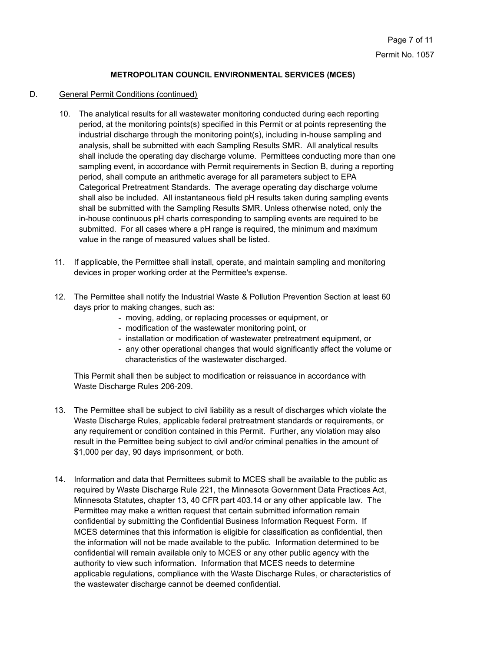### D. General Permit Conditions (continued)

- 10. The analytical results for all wastewater monitoring conducted during each reporting period, at the monitoring points(s) specified in this Permit or at points representing the industrial discharge through the monitoring point(s), including in-house sampling and analysis, shall be submitted with each Sampling Results SMR. All analytical results shall include the operating day discharge volume. Permittees conducting more than one sampling event, in accordance with Permit requirements in Section B, during a reporting period, shall compute an arithmetic average for all parameters subject to EPA Categorical Pretreatment Standards. The average operating day discharge volume shall also be included. All instantaneous field pH results taken during sampling events shall be submitted with the Sampling Results SMR. Unless otherwise noted, only the in-house continuous pH charts corresponding to sampling events are required to be submitted. For all cases where a pH range is required, the minimum and maximum value in the range of measured values shall be listed.
- 11. If applicable, the Permittee shall install, operate, and maintain sampling and monitoring devices in proper working order at the Permittee's expense.
- 12. The Permittee shall notify the Industrial Waste & Pollution Prevention Section at least 60 days prior to making changes, such as:
	- moving, adding, or replacing processes or equipment, or
	- modification of the wastewater monitoring point, or
	- installation or modification of wastewater pretreatment equipment, or
	- any other operational changes that would significantly affect the volume or characteristics of the wastewater discharged.

This Permit shall then be subject to modification or reissuance in accordance with Waste Discharge Rules 206-209.

- 13. The Permittee shall be subject to civil liability as a result of discharges which violate the Waste Discharge Rules, applicable federal pretreatment standards or requirements, or any requirement or condition contained in this Permit. Further, any violation may also result in the Permittee being subject to civil and/or criminal penalties in the amount of \$1,000 per day, 90 days imprisonment, or both.
- 14. Information and data that Permittees submit to MCES shall be available to the public as required by Waste Discharge Rule 221, the Minnesota Government Data Practices Act, Minnesota Statutes, chapter 13, 40 CFR part 403.14 or any other applicable law. The Permittee may make a written request that certain submitted information remain confidential by submitting the Confidential Business Information Request Form. If MCES determines that this information is eligible for classification as confidential, then the information will not be made available to the public. Information determined to be confidential will remain available only to MCES or any other public agency with the authority to view such information. Information that MCES needs to determine applicable regulations, compliance with the Waste Discharge Rules, or characteristics of the wastewater discharge cannot be deemed confidential.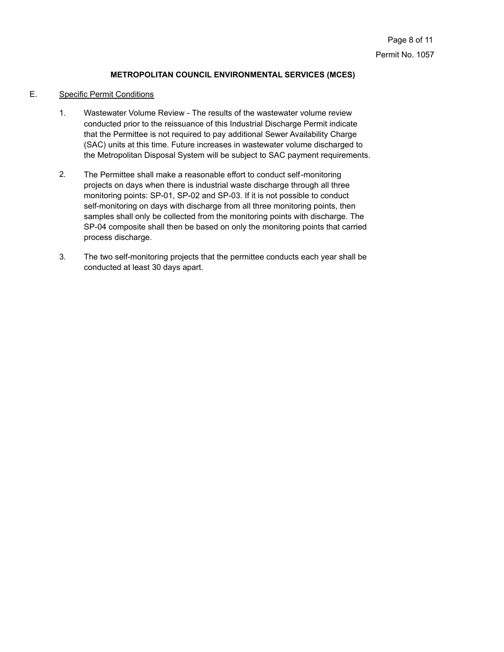### E. Specific Permit Conditions

- Wastewater Volume Review The results of the wastewater volume review conducted prior to the reissuance of this Industrial Discharge Permit indicate that the Permittee is not required to pay additional Sewer Availability Charge (SAC) units at this time. Future increases in wastewater volume discharged to the Metropolitan Disposal System will be subject to SAC payment requirements. 1.
- The Permittee shall make a reasonable effort to conduct self-monitoring projects on days when there is industrial waste discharge through all three monitoring points: SP-01, SP-02 and SP-03. If it is not possible to conduct self-monitoring on days with discharge from all three monitoring points, then samples shall only be collected from the monitoring points with discharge. The SP-04 composite shall then be based on only the monitoring points that carried process discharge. 2.
- The two self-monitoring projects that the permittee conducts each year shall be conducted at least 30 days apart. 3.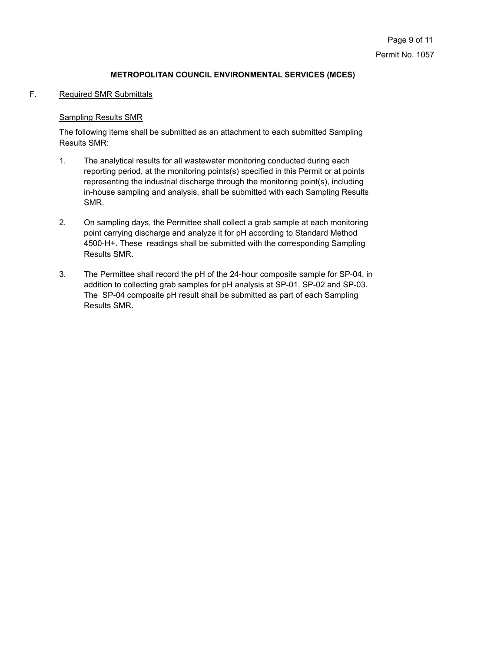# F. Required SMR Submittals

# Sampling Results SMR

The following items shall be submitted as an attachment to each submitted Sampling Results SMR:

- The analytical results for all wastewater monitoring conducted during each reporting period, at the monitoring points(s) specified in this Permit or at points representing the industrial discharge through the monitoring point(s), including in-house sampling and analysis, shall be submitted with each Sampling Results SMR. 1.
- On sampling days, the Permittee shall collect a grab sample at each monitoring point carrying discharge and analyze it for pH according to Standard Method 4500-H+. These readings shall be submitted with the corresponding Sampling Results SMR. 2.
- The Permittee shall record the pH of the 24-hour composite sample for SP-04, in addition to collecting grab samples for pH analysis at SP-01, SP-02 and SP-03. The SP-04 composite pH result shall be submitted as part of each Sampling Results SMR. 3.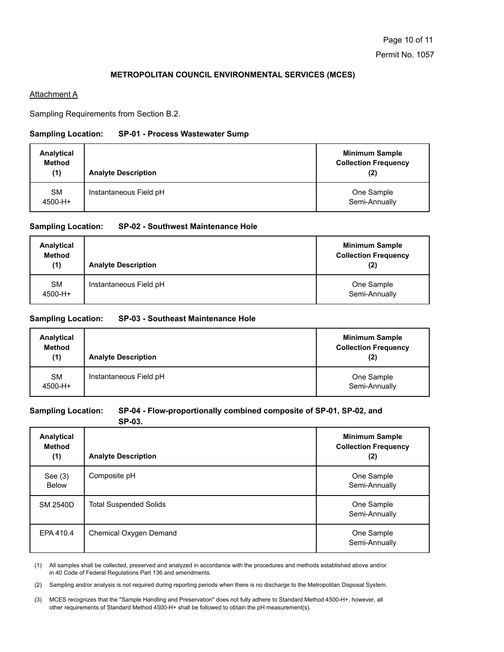### **Attachment A**

Sampling Requirements from Section B.2.

### **Sampling Location: SP-01 - Process Wastewater Sump**

| Analytical<br><b>Method</b><br>(1) | <b>Analyte Description</b> | <b>Minimum Sample</b><br><b>Collection Frequency</b><br>(2) |
|------------------------------------|----------------------------|-------------------------------------------------------------|
| <b>SM</b><br>4500-H+               | Instantaneous Field pH     | One Sample<br>Semi-Annually                                 |

### **Sampling Location: SP-02 - Southwest Maintenance Hole**

| Analytical<br><b>Method</b><br>(1) | <b>Analyte Description</b> | <b>Minimum Sample</b><br><b>Collection Frequency</b><br>(2) |
|------------------------------------|----------------------------|-------------------------------------------------------------|
| <b>SM</b><br>4500-H+               | Instantaneous Field pH     | One Sample<br>Semi-Annually                                 |

### **Sampling Location: SP-03 - Southeast Maintenance Hole**

| Analytical<br><b>Method</b><br>(1) | <b>Analyte Description</b> | <b>Minimum Sample</b><br><b>Collection Frequency</b><br>(2) |
|------------------------------------|----------------------------|-------------------------------------------------------------|
| <b>SM</b><br>4500-H+               | Instantaneous Field pH     | One Sample<br>Semi-Annually                                 |

# **Sampling Location: SP-04 - Flow-proportionally combined composite of SP-01, SP-02, and**

**SP-03.**

| Analytical<br><b>Method</b><br>(1) | <b>Analyte Description</b>    | <b>Minimum Sample</b><br><b>Collection Frequency</b><br>(2) |
|------------------------------------|-------------------------------|-------------------------------------------------------------|
| See $(3)$<br><b>Below</b>          | Composite pH                  | One Sample<br>Semi-Annually                                 |
| <b>SM 2540D</b>                    | <b>Total Suspended Solids</b> | One Sample<br>Semi-Annually                                 |
| EPA 410.4                          | Chemical Oxygen Demand        | One Sample<br>Semi-Annually                                 |

All samples shall be collected, preserved and analyzed in accordance with the procedures and methods established above and/or in 40 Code of Federal Regulations Part 136 and amendments. (1)

(2) Sampling and/or analysis is not required during reporting periods when there is no discharge to the Metropolitan Disposal System.

(3) MCES recognizes that the "Sample Handling and Preservation" does not fully adhere to Standard Method 4500-H+, however, all other requirements of Standard Method 4500-H+ shall be followed to obtain the pH measurement(s).